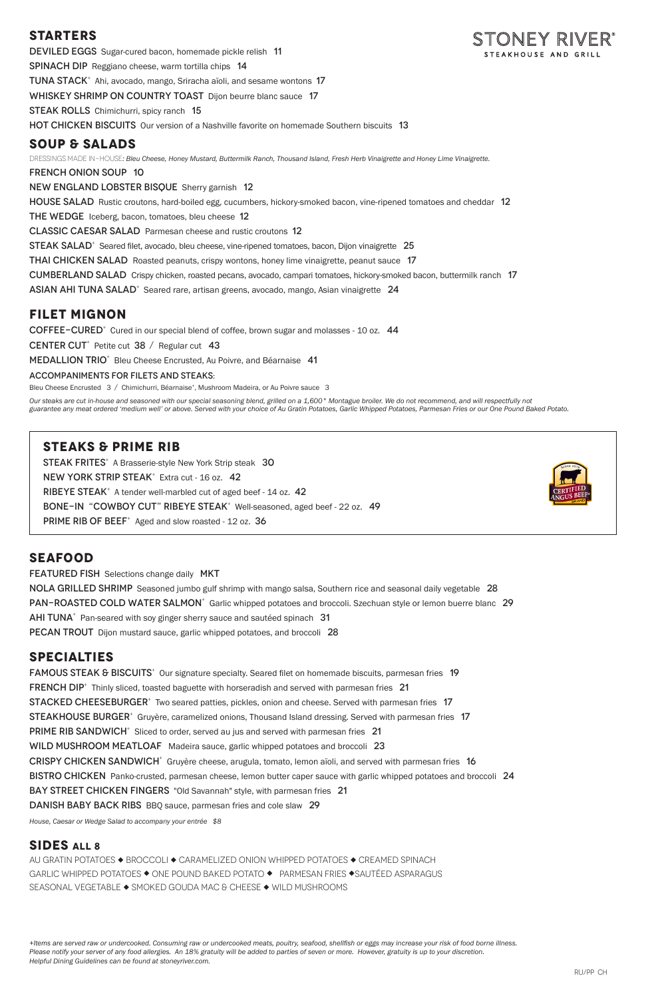### **STARTERS**

DEVILED EGGS Sugar-cured bacon, homemade pickle relish 11 SPINACH DIP Reggiano cheese, warm tortilla chips 14 TUNA STACK<sup>+</sup> Ahi, avocado, mango, Sriracha aïoli, and sesame wontons 17 WHISKEY SHRIMP ON COUNTRY TOAST Dijon beurre blanc sauce 17 **STEAK ROLLS** Chimichurri, spicy ranch 15 **HOT CHICKEN BISCUITS** Our version of a Nashville favorite on homemade Southern biscuits 13 **SOUP & SALADS**

french onion soup 10 NEW ENGLAND LOBSTER BISQUE Sherry garnish 12 HOUSE SALAD Rustic croutons, hard-boiled egg, cucumbers, hickory-smoked bacon, vine-ripened tomatoes and cheddar 12 THE WEDGE Iceberg, bacon, tomatoes, bleu cheese 12 CLASSIC CAESAR SALAD Parmesan cheese and rustic croutons 12 STEAK SALAD<sup>+</sup> Seared filet, avocado, bleu cheese, vine-ripened tomatoes, bacon, Dijon vinaigrette 25 THAI CHICKEN SALAD Roasted peanuts, crispy wontons, honey lime vinaigrette, peanut sauce 17 Cumberland SaladCrispy chicken, roasted pecans, avocado, campari tomatoes, hickory-smoked bacon, buttermilk ranch 17 ASIAN AHI TUNA SALAD<sup>+</sup> Seared rare, artisan greens, avocado, mango, Asian vinaigrette 24

DRESSINGS MADE IN-HOUSE*: Bleu Cheese, Honey Mustard, Buttermilk Ranch, Thousand Island, Fresh Herb Vinaigrette and Honey Lime Vinaigrette.* 

### **FILET MIGNON**

COFFEE-CURED<sup>+</sup> Cured in our special blend of coffee, brown sugar and molasses - 10 oz. 44

CENTER CUT<sup>+</sup> Petite cut  $38 /$  Regular cut 43

MEDALLION TRIO<sup>+</sup> Bleu Cheese Encrusted, Au Poivre, and Béarnaise 41

Accompaniments for filets and steaks:

Bleu Cheese Encrusted 3 / Chimichurri, Béarnaise+, Mushroom Madeira, or Au Poivre sauce 3

*Our steaks are cut in-house and seasoned with our special seasoning blend, grilled on a 1,600° Montague broiler. We do not recommend, and will respectfully not guarantee any meat ordered 'medium well' or above. Served with your choice of Au Gratin Potatoes, Garlic Whipped Potatoes, Parmesan Fries or our One Pound Baked Potato.*

FAMOUS STEAK & BISCUITS<sup>+</sup> Our signature specialty. Seared filet on homemade biscuits, parmesan fries 19 FRENCH DIP<sup>+</sup> Thinly sliced, toasted baguette with horseradish and served with parmesan fries 21 STACKED CHEESEBURGER<sup>+</sup> Two seared patties, pickles, onion and cheese. Served with parmesan fries 17 STEAKHOUSE BURGER<sup>+</sup> Gruyère, caramelized onions, Thousand Island dressing. Served with parmesan fries 17 PRIME RIB SANDWICH<sup>+</sup> Sliced to order, served au jus and served with parmesan fries 21 WILD MUSHROOM MEATLOAF Madeira sauce, garlic whipped potatoes and broccoli 23 CRISPY CHICKEN SANDWICH<sup>+</sup> Gruyère cheese, arugula, tomato, lemon aïoli, and served with parmesan fries 16 BISTRO CHICKEN Panko-crusted, parmesan cheese, lemon butter caper sauce with garlic whipped potatoes and broccoli 24 BAY STREET CHICKEN FINGERS "Old Savannah" style, with parmesan fries 21 Danish Baby Back RibsBBQ sauce, parmesan fries and cole slaw 29



### **STEAKS & PRIME RIB**

STEAK FRITES<sup>+</sup> A Brasserie-style New York Strip steak 30 NEW YORK STRIP STEAK<sup>+</sup> Extra cut - 16 oz. 42 RIBEYE STEAK<sup>+</sup> A tender well-marbled cut of aged beef - 14 oz. 42 BONE-IN "COWBOY CUT" RIBEYE STEAK<sup>+</sup> Well-seasoned, aged beef - 22 oz. 49 PRIME RIB OF BEEF<sup>+</sup> Aged and slow roasted - 12 oz. 36



### **SEAFOOD**

FEATURED FISH Selections change daily MKT NOLA GRILLED SHRIMP Seasoned jumbo gulf shrimp with mango salsa, Southern rice and seasonal daily vegetable 28 PAN-ROASTED COLD WATER SALMON<sup>+</sup> Garlic whipped potatoes and broccoli. Szechuan style or lemon buerre blanc 29  $AHI TUNA<sup>+</sup>$  Pan-seared with soy ginger sherry sauce and sautéed spinach 31 PECAN TROUT Dijon mustard sauce, garlic whipped potatoes, and broccoli 28

### **SPECIALTIES**

*House, Caesar or Wedge Salad to accompany your entrée \$8* 

### **SIDES ALL 8**

AU GRATIN POTATOES  $\blacklozenge$  BROCCOLI  $\blacklozenge$  CARAMELIZED ONION WHIPPED POTATOES  $\blacklozenge$  CREAMED SPINACH GARLIC WHIPPED POTATOES  $\blacklozenge$  ONE POUND BAKED POTATO  $\blacklozenge$  PARMESAN FRIES  $\blacklozenge$ SAUTÉED ASPARAGUS SEASONAL VEGETABLE ◆ SMOKED GOUDA MAC & CHEESE ◆ WILD MUSHROOMS

*+Items are served raw or undercooked. Consuming raw or undercooked meats, poultry, seafood, shellfish or eggs may increase your risk of food borne illness. Please notify your server of any food allergies. An 18% gratuity will be added to parties of seven or more. However, gratuity is up to your discretion. Helpful Dining Guidelines can be found at stoneyriver.com.*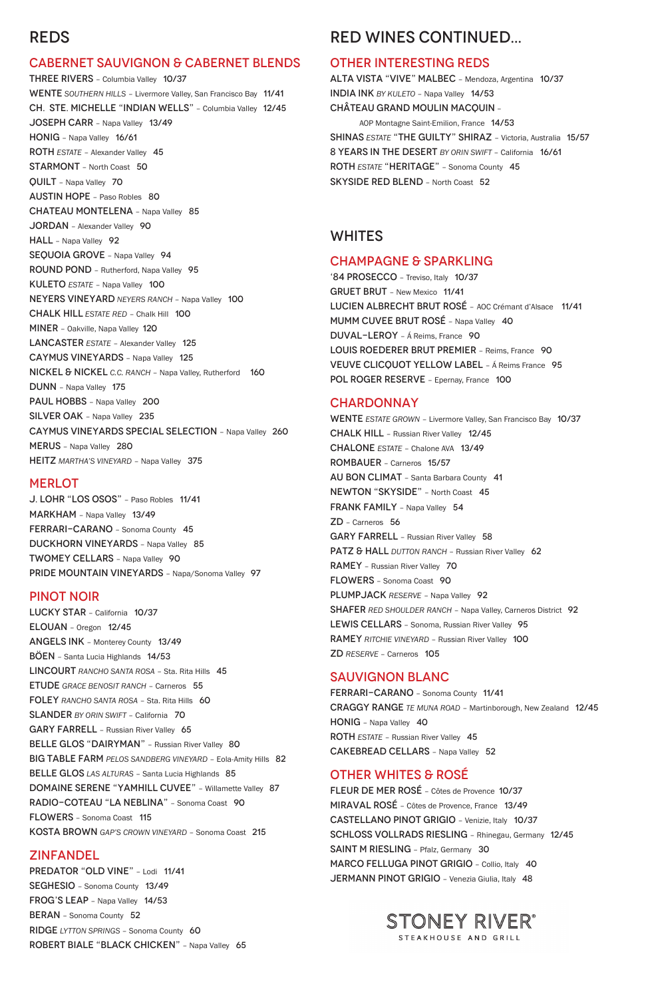# REDS

#### CABERNET SAUVIGNON & CABERNET BLENDS

J. LOHR "LOS OSOS" – Paso Robles 11/41 MARKHAM – Napa Valley 13/49 FERRARI-CARANO – Sonoma County 45 DUCKHORN VINEYARDS – Napa Valley 85 TWOMEY CELLARS – Napa Valley 90 PRIDE MOUNTAIN VINEYARDS - Napa/Sonoma Valley 97

THREE RIVERS – Columbia Valley 10/37 WENTE *SOUTHERN HILLS* – Livermore Valley, San Francisco Bay 11/41 CH. STE. MICHELLE "INDIAN WELLS" – Columbia Valley 12/45 JOSEPH CARR – Napa Valley 13/49 HONIG – Napa Valley 16/61 ROTH *ESTATE* – Alexander Valley 45 STARMONT – North Coast 50 QUILT – Napa Valley 70 AUSTIN HOPE – Paso Robles 80 CHATEAU MONTELENA – Napa Valley 85 JORDAN – Alexander Valley 90 HALL - Napa Valley 92 SEQUOIA GROVE - Napa Valley 94 ROUND POND – Rutherford, Napa Valley 95 KULETO *ESTATE* – Napa Valley 100 NEYERS VINEYARD *NEYERS RANCH* – Napa Valley 100 CHALK HILL *ESTATE RED* – Chalk Hill 100 MINER – Oakville, Napa Valley 120 LANCASTER *ESTATE* – Alexander Valley 125 CAYMUS VINEYARDS – Napa Valley 125 NICKEL & NICKEL *C.C. RANCH* – Napa Valley, Rutherford 160 DUNN – Napa Valley 175 PAUL HOBBS - Napa Valley 200 SILVER OAK - Napa Valley 235 CAYMUS VINEYARDS SPECIAL SELECTION – Napa Valley 260 MERUS – Napa Valley 280 HEITZ *MARTHA'S VINEYARD* – Napa Valley 375

#### **MERLOT**

#### PINOT NOIR

'84 PROSECCO – Treviso, Italy 10/37 GRUET BRUT – New Mexico 11/41 LUCIEN ALBRECHT BRUT ROSÉ – AOC Crémant d'Alsace 11/41 MUMM CUVEE BRUT ROSÉ - Napa Valley 40 DUVAL-LEROY – Á Reims, France 90 LOUIS ROEDERER BRUT PREMIER – Reims, France 90 VEUVE CLICQUOT YELLOW LABEL – Á Reims France 95 POL ROGER RESERVE - Epernay, France 100

#### **CHARDONNAY**

LUCKY STAR – California 10/37 ELOUAN – Oregon 12/45 ANGELS INK – Monterey County 13/49 BÖEN *–* Santa Lucia Highlands 14/53 LINCOURT *RANCHO SANTA ROSA* – Sta. Rita Hills 45 ETUDE *GRACE BENOSIT RANCH* – Carneros 55 FOLEY *RANCHO SANTA ROSA* – Sta. Rita Hills 60 SLANDER *BY ORIN SWIFT* – California 70 GARY FARRELL - Russian River Valley 65 BELLE GLOS "DAIRYMAN" - Russian River Valley 80 BIG TABLE FARM *PELOS SANDBERG VINEYARD* – Eola-Amity Hills 82 BELLE GLOS *LAS ALTURAS* – Santa Lucia Highlands 85 DOMAINE SERENE "YAMHILL CUVEE" – Willamette Valley 87 RADIO-COTEAU "LA NEBLINA" – Sonoma Coast 90 FLOWERS – Sonoma Coast 115 KOSTA BROWN *GAP'S CROWN VINEYARD* – Sonoma Coast 215

FLEUR DE MER ROSÉ – Côtes de Provence 10/37 MIRAVAL ROSÉ – Côtes de Provence, France 13/49 CASTELLANO PINOT GRIGIO – Venizie, Italy 10/37 SCHLOSS VOLLRADS RIESLING – Rhinegau, Germany 12/45 SAINT M RIESLING - Pfalz, Germany 30 MARCO FELLUGA PINOT GRIGIO – Collio, Italy 40 JERMANN PINOT GRIGIO - Venezia Giulia, Italy 48



#### ZINFANDEL

PREDATOR "OLD VINE" - Lodi 11/41

SEGHESIO – Sonoma County 13/49

FROG'S LEAP – Napa Valley 14/53

BERAN – Sonoma County 52

RIDGE *LYTTON SPRINGS* – Sonoma County 60

ROBERT BIALE "BLACK CHICKEN" – Napa Valley 65

# RED WINES CONTINUED...

#### OTHER INTERESTING REDS

ALTA VISTA "VIVE" MALBEC – Mendoza, Argentina 10/37 INDIA INK *BY KULETO* – Napa Valley 14/53 CHÂTEAU GRAND MOULIN MACQUIN –

AOP Montagne Saint-Emilion, France 14/53 SHINAS *ESTATE* "THE GUILTY" SHIRAZ - Victoria, Australia 15/57 8 YEARS IN THE DESERT *BY ORIN SWIFT* – California 16/61 ROTH *ESTATE* "HERITAGE" – Sonoma County 45 SKYSIDE RED BLEND – North Coast 52

### WHITES

#### CHAMPAGNE & SPARKLING

WENTE *ESTATE GROWN* – Livermore Valley, San Francisco Bay 10/37 CHALK HILL – Russian River Valley 12/45 CHALONE *ESTATE* – Chalone AVA 13/49 ROMBAUER – Carneros 15/57 AU BON CLIMAT – Santa Barbara County 41 NEWTON "SKYSIDE" – North Coast 45 FRANK FAMILY - Napa Valley 54 ZD – Carneros 56 GARY FARRELL – Russian River Valley 58 PATZ & HALL DUTTON RANCH - Russian River Valley 62 RAMEY – Russian River Valley 70 FLOWERS – Sonoma Coast 90 PLUMPJACK *RESERVE* – Napa Valley 92 SHAFER *RED SHOULDER RANCH* – Napa Valley, Carneros District 92 LEWIS CELLARS – Sonoma, Russian River Valley 95 RAMEY *RITCHIE VINEYARD* – Russian River Valley 100 ZD *RESERVE* – Carneros 105

### SAUVIGNON BLANC

FERRARI-CARANO – Sonoma County 11/41 CRAGGY RANGE *TE MUNA ROAD* – Martinborough, New Zealand 12/45 HONIG - Napa Valley 40 ROTH *ESTATE* – Russian River Valley 45 CAKEBREAD CELLARS – Napa Valley 52

### OTHER WHITES & ROSÉ